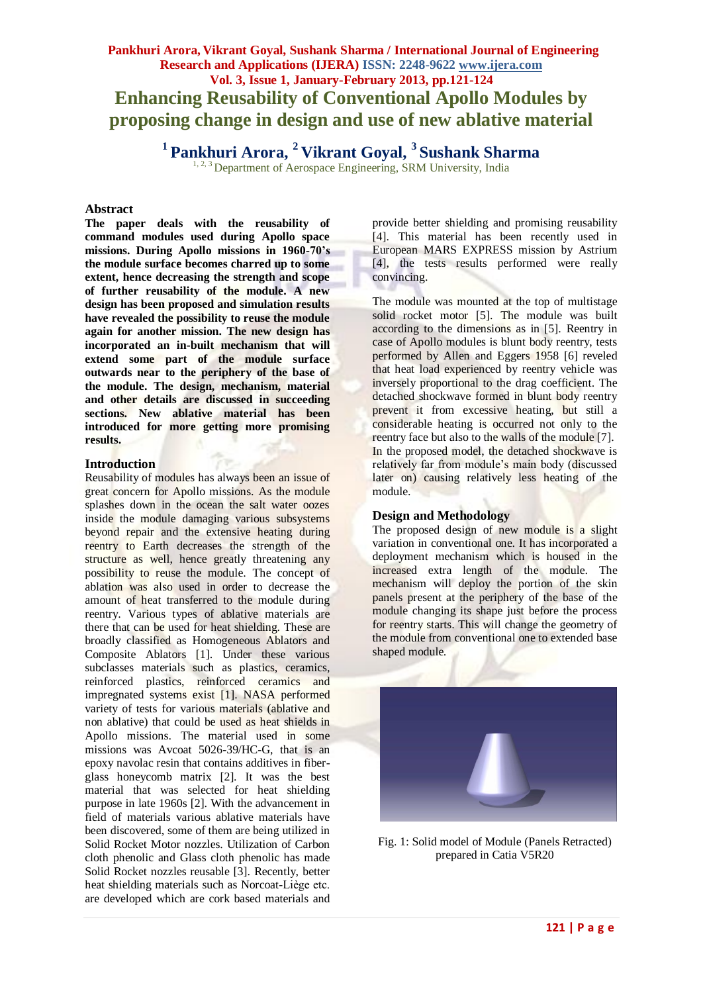# **Pankhuri Arora, Vikrant Goyal, Sushank Sharma / International Journal of Engineering Research and Applications (IJERA) ISSN: 2248-9622 www.ijera.com Vol. 3, Issue 1, January-February 2013, pp.121-124 Enhancing Reusability of Conventional Apollo Modules by proposing change in design and use of new ablative material**

**<sup>1</sup>Pankhuri Arora, <sup>2</sup>Vikrant Goyal, <sup>3</sup>Sushank Sharma**

<sup>1, 2, 3</sup> Department of Aerospace Engineering, SRM University, India

#### **Abstract**

**The paper deals with the reusability of command modules used during Apollo space missions. During Apollo missions in 1960-70's the module surface becomes charred up to some extent, hence decreasing the strength and scope of further reusability of the module. A new design has been proposed and simulation results have revealed the possibility to reuse the module again for another mission. The new design has incorporated an in-built mechanism that will extend some part of the module surface outwards near to the periphery of the base of the module. The design, mechanism, material and other details are discussed in succeeding sections. New ablative material has been introduced for more getting more promising results.**

### **Introduction**

Reusability of modules has always been an issue of great concern for Apollo missions. As the module splashes down in the ocean the salt water oozes inside the module damaging various subsystems beyond repair and the extensive heating during reentry to Earth decreases the strength of the structure as well, hence greatly threatening any possibility to reuse the module. The concept of ablation was also used in order to decrease the amount of heat transferred to the module during reentry. Various types of ablative materials are there that can be used for heat shielding. These are broadly classified as Homogeneous Ablators and Composite Ablators [1]. Under these various subclasses materials such as plastics, ceramics, reinforced plastics, reinforced ceramics and impregnated systems exist [1]. NASA performed variety of tests for various materials (ablative and non ablative) that could be used as heat shields in Apollo missions. The material used in some missions was Avcoat 5026-39/HC-G, that is an epoxy navolac resin that contains additives in fiberglass honeycomb matrix [2]. It was the best material that was selected for heat shielding purpose in late 1960s [2]. With the advancement in field of materials various ablative materials have been discovered, some of them are being utilized in Solid Rocket Motor nozzles. Utilization of Carbon cloth phenolic and Glass cloth phenolic has made Solid Rocket nozzles reusable [3]. Recently, better heat shielding materials such as Norcoat-Liège etc. are developed which are cork based materials and

provide better shielding and promising reusability [4]. This material has been recently used in European MARS EXPRESS mission by Astrium [4], the tests results performed were really convincing.

The module was mounted at the top of multistage solid rocket motor [5]. The module was built according to the dimensions as in [5]. Reentry in case of Apollo modules is blunt body reentry, tests performed by Allen and Eggers 1958 [6] reveled that heat load experienced by reentry vehicle was inversely proportional to the drag coefficient. The detached shockwave formed in blunt body reentry prevent it from excessive heating, but still a considerable heating is occurred not only to the reentry face but also to the walls of the module [7]. In the proposed model, the detached shockwave is relatively far from module's main body (discussed later on) causing relatively less heating of the module.

## **Design and Methodology**

The proposed design of new module is a slight variation in conventional one. It has incorporated a deployment mechanism which is housed in the increased extra length of the module. The mechanism will deploy the portion of the skin panels present at the periphery of the base of the module changing its shape just before the process for reentry starts. This will change the geometry of the module from conventional one to extended base shaped module.



Fig. 1: Solid model of Module (Panels Retracted) prepared in Catia V5R20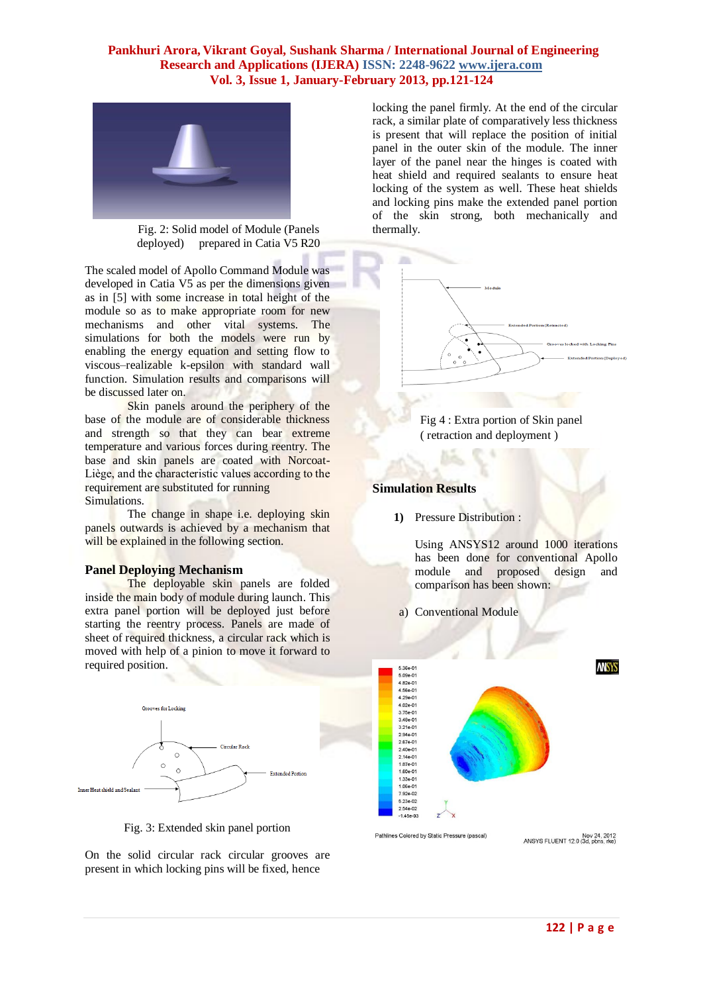## **Pankhuri Arora, Vikrant Goyal, Sushank Sharma / International Journal of Engineering Research and Applications (IJERA) ISSN: 2248-9622 www.ijera.com Vol. 3, Issue 1, January-February 2013, pp.121-124**



Fig. 2: Solid model of Module (Panels deployed) prepared in Catia V5 R20

The scaled model of Apollo Command Module was developed in Catia V5 as per the dimensions given as in [5] with some increase in total height of the module so as to make appropriate room for new mechanisms and other vital systems. The simulations for both the models were run by enabling the energy equation and setting flow to viscous–realizable k-epsilon with standard wall function. Simulation results and comparisons will be discussed later on.

Skin panels around the periphery of the base of the module are of considerable thickness and strength so that they can bear extreme temperature and various forces during reentry. The base and skin panels are coated with Norcoat-Liѐge, and the characteristic values according to the requirement are substituted for running Simulations.

The change in shape i.e. deploying skin panels outwards is achieved by a mechanism that will be explained in the following section.

#### **Panel Deploying Mechanism**

The deployable skin panels are folded inside the main body of module during launch. This extra panel portion will be deployed just before starting the reentry process. Panels are made of sheet of required thickness, a circular rack which is moved with help of a pinion to move it forward to required position.



Fig. 3: Extended skin panel portion

On the solid circular rack circular grooves are present in which locking pins will be fixed, hence

locking the panel firmly. At the end of the circular rack, a similar plate of comparatively less thickness is present that will replace the position of initial panel in the outer skin of the module. The inner layer of the panel near the hinges is coated with heat shield and required sealants to ensure heat locking of the system as well. These heat shields and locking pins make the extended panel portion of the skin strong, both mechanically and thermally.





### **Simulation Results**

**1)** Pressure Distribution :

Using ANSYS12 around 1000 iterations has been done for conventional Apollo module and proposed design and comparison has been shown:

a) Conventional Module



Pathlines Colored by Static Pressure (pascal)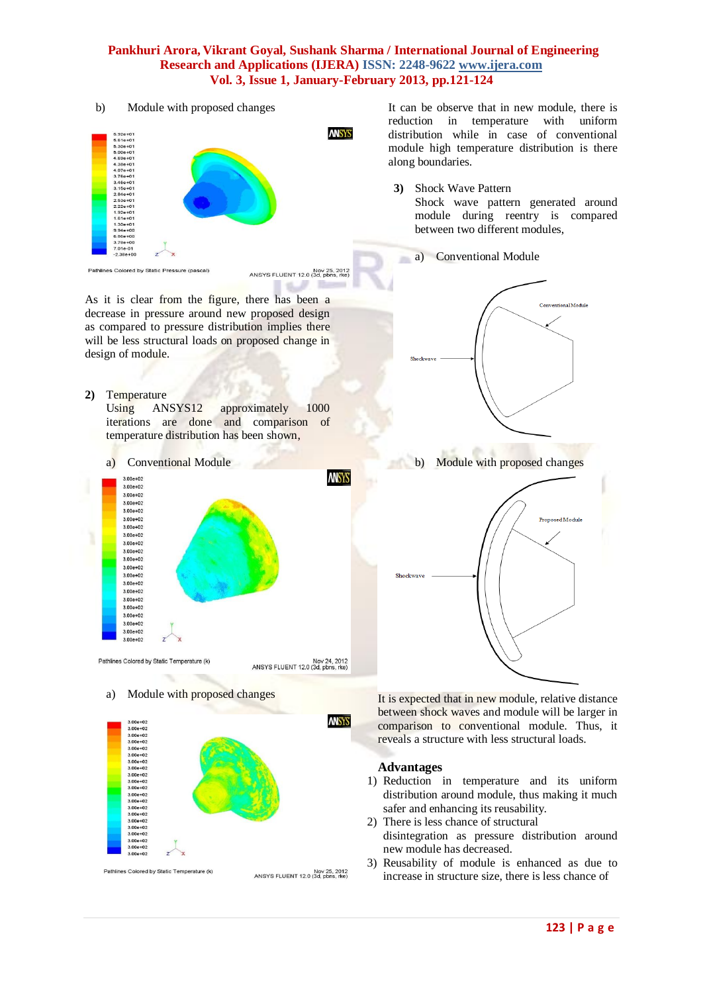## **Pankhuri Arora, Vikrant Goyal, Sushank Sharma / International Journal of Engineering Research and Applications (IJERA) ISSN: 2248-9622 www.ijera.com Vol. 3, Issue 1, January-February 2013, pp.121-124**

b) Module with proposed changes



Nov 25, 2012<br>ANSYS FLUENT 12.0 (3d, pbns, rke) المساة

As it is clear from the figure, there has been a decrease in pressure around new proposed design as compared to pressure distribution implies there will be less structural loads on proposed change in design of module.

**2)** Temperature

Using ANSYS12 approximately 1000 iterations are done and comparison of temperature distribution has been shown,



Nov 24, 2012<br>ANSYS FLUENT 12.0 (3d, pbns, rke)

a) Module with proposed changes



It can be observe that in new module, there is reduction in temperature with uniform distribution while in case of conventional module high temperature distribution is there along boundaries.

- **3)** Shock Wave Pattern Shock wave pattern generated around module during reentry is compared between two different modules,
	- a) Conventional Module





It is expected that in new module, relative distance between shock waves and module will be larger in comparison to conventional module. Thus, it reveals a structure with less structural loads.

## **Advantages**

- 1) Reduction in temperature and its uniform distribution around module, thus making it much safer and enhancing its reusability.
- 2) There is less chance of structural disintegration as pressure distribution around new module has decreased.
- 3) Reusability of module is enhanced as due to increase in structure size, there is less chance of